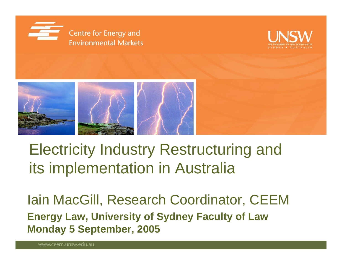





# Electricity Industry Restructuring and its implementation in Australia

Iain MacGill, Research Coordinator, CEEM **Energy Law, University of Sydney Faculty of Law Monday 5 September, 2005**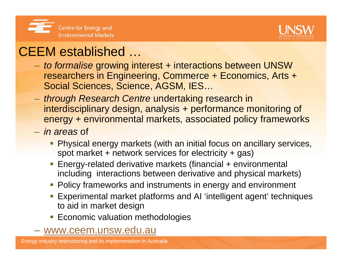



#### CEEM established …

- – *to formalise* growing interest + interactions between UNSW researchers in Engineering, Commerce + Economics, Arts + Social Sciences, Science, AGSM, IES…
- – *through Research Centre* undertaking research in interdisciplinary design, analysis + performance monitoring of energy + environmental markets, associated policy frameworks
- *in areas* of
	- **Physical energy markets (with an initial focus on ancillary services,** spot market + network services for electricity + gas)
	- Energy-related derivative markets (financial + environmental including interactions between derivative and physical markets)
	- **Policy frameworks and instruments in energy and environment**
	- Experimental market platforms and AI 'intelligent agent' techniques to aid in market design
	- **Economic valuation methodologies**
- www.ceem.unsw.edu.au

Energy industry restructuring and its implementation in Australia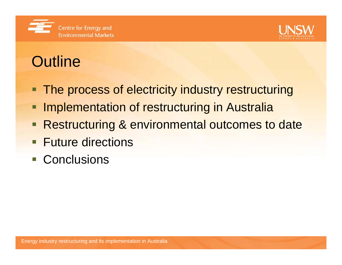



# **Outline**

- ш The process of electricity industry restructuring
- Implementation of restructuring in Australia
- Restructuring & environmental outcomes to date
- **Future directions**
- Conclusions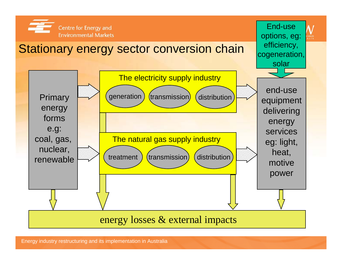

Energy industry restructuring and its implementation in Australia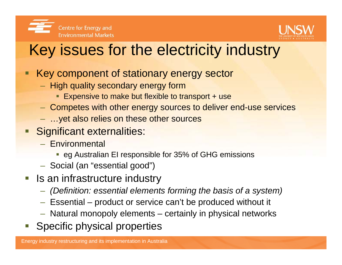



# Key issues for the electricity industry

- Key component of stationary energy sector
	- $-$  High quality secondary energy form
		- **Expensive to make but flexible to transport + use**
	- Competes with other energy sources to deliver end-use services
	- …yet also relies on these other sources
- Significant externalities:
	- Environmental
		- **eg Australian EI responsible for 35% of GHG emissions**
	- $-$  Social (an "essential good")
- **If** Is an infrastructure industry
	- *(Definition: essential elements forming the basis of a system)*
	- Essential product or service can't be produced without it
	- Natural monopoly elements certainly in physical networks
- Specific physical properties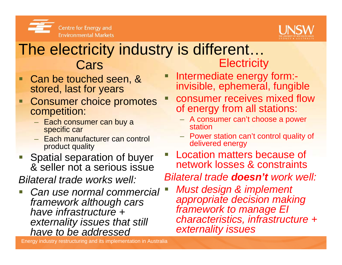



#### The electricity industry is different… Cars **Electricity**

**Service Service** 

- $\blacksquare$  Can be touched seen, & stored, last for years
- $\blacksquare$  Consumer choice promotes competition:
	- Each consumer can buy a specific car
	- Each manufacturer can control product quality
- **Spatial separation of buyer** & seller not a serious issue

*Bilateral trade works well:*

I. *Can use normal commercial framework although cars have infrastructure + externality issues that still have to be addressed*

Energy industry restructuring and its implementation in Australia

**Intermediate energy form:**invisible, ephemeral, fungible

- Г consumer receives mixed flow of energy from all stations:
	- A consumer can't choose a power station
	- Power station can't control quality of delivered energy
- Location matters because of network losses & constraints
- *Bilateral trade doesn't work well:*
	- *Must design & implement appropriate decision making framework to manage EI characteristics, infrastructure + externality issues*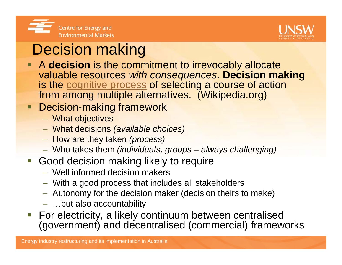



# Decision making

- **A decision** is the commitment to irrevocably allocate valuable resources *with consequences*. **Decision making** is the cognitive process of selecting a course of action from among multiple alternatives. (Wikipedia.org)
- Decision-making framework
	- What objectives
	- What decisions *(available choices)*
	- How are they taken *(process)*
	- Who takes them *(individuals, groups – always challenging)*
- **Good decision making likely to require** 
	- Well informed decision makers
	- With a good process that includes all stakeholders
	- $-$  Autonomy for the decision maker (decision theirs to make)
	- …but also accountability
- **For electricity, a likely continuum between centralised** (government) and decentralised (commercial) frameworks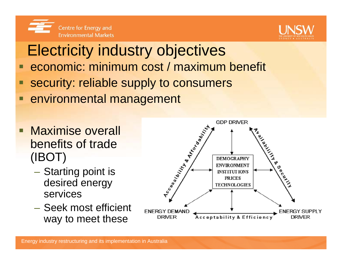



# Electricity industry objectives

- $\Box$ economic: minimum cost / maximum benefit
- security: reliable supply to consumers
- $\blacksquare$ environmental management
- $\blacksquare$  Maximise overall benefits of trade (IBOT)
	- Starting point is desired energy services
	- Seek most efficient way to meet these

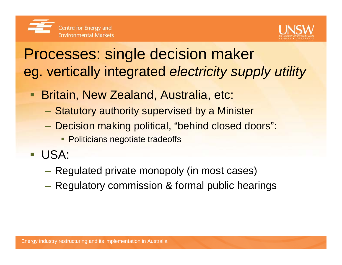

## Processes: single decision maker eg. vertically integrated *electricity supply utility*

- T. Britain, New Zealand, Australia, etc:
	- Statutory authority supervised by a Minister
	- Decision making political, "behind closed doors":
		- **Politicians negotiate tradeoffs**
- USA:
	- Regulated private monopoly (in most cases)
	- Regulatory commission & formal public hearings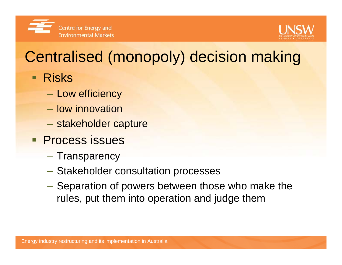



# Centralised (monopoly) decision making

- **Risks** 
	- $-$  Low efficiency
	- low innovation
	- stakeholder capture
- **Process issues** 
	- Transparency
	- Stakeholder consultation processes
	- Separation of powers between those who make the rules, put them into operation and judge them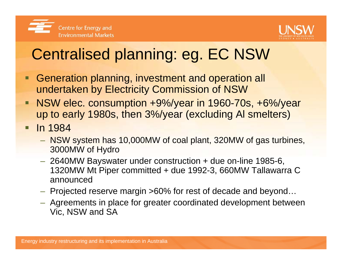



# Centralised planning: eg. EC NSW

- $\blacksquare$  Generation planning, investment and operation all undertaken by Electricity Commission of NSW
- $\blacksquare$  NSW elec. consumption +9%/year in 1960-70s, +6%/year up to early 1980s, then 3%/year (excluding Al smelters)
- $\blacksquare$  In 1984
	- NSW system has 10,000MW of coal plant, 320MW of gas turbines, 3000MW of Hydro
	- 2640MW Bayswater under construction + due on-line 1985-6, 1320MW Mt Piper committed + due 1992-3, 660MW Tallawarra C announced
	- $-$  Projected reserve margin >60% for rest of decade and beyond…
	- Agreements in place for greater coordinated development between Vic, NSW and SA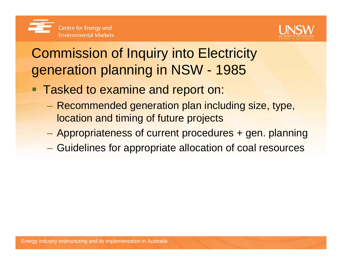

## Commission of Inquiry into Electricity generation planning in NSW - 1985

- **Tasked to examine and report on:** 
	- $\mathcal{L}_{\mathcal{A}}$  Recommended generation plan including size, type, location and timing of future projects
	- Appropriateness of current procedures + gen. planning
	- Guidelines for appropriate allocation of coal resources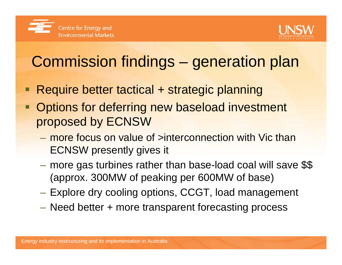



# Commission findings – generation plan

- □ Require better tactical + strategic planning
- Options for deferring new baseload investment proposed by ECNSW
	- more focus on value of >interconnection with Vic than ECNSW presently gives it
	- **Hart Communication**  more gas turbines rather than base-load coal will save \$\$ (approx. 300MW of peaking per 600MW of base)
	- Explore dry cooling options, CCGT, load management
	- Need better + more transparent forecasting process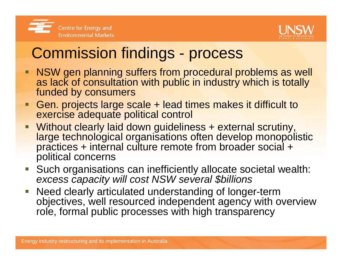



# Commission findings - process

- **NSW gen planning suffers from procedural problems as well** as lack of consultation with public in industry which is totally funded by consumers
- Ξ Gen. projects large scale + lead times makes it difficult to exercise adequate political control
- $\blacksquare$ Without clearly laid down guideliness + external scrutiny, large technological organisations often develop monopolistic practices + internal culture remote from broader social + political concerns
- $\mathcal{L}_{\mathcal{A}}$ Such organisations can inefficiently allocate societal wealth: *excess capacity will cost NSW several \$billions*
- $\overline{\mathbb{R}^n}$  Need clearly articulated understanding of longer-term objectives, well resourced independent agency with overview role, formal public processes with high transparency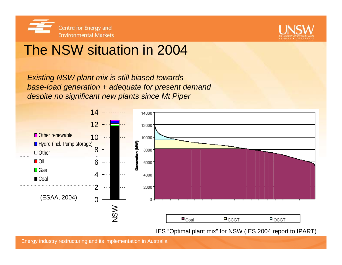



#### The NSW situation in 2004

*Existing NSW plant mix is still biased towards base-load generation + adequate for present demand despite no significant new plants since Mt Piper*



IES "Optimal plant mix" for NSW (IES 2004 report to IPART)

Energy industry restructuring and its implementation in Australia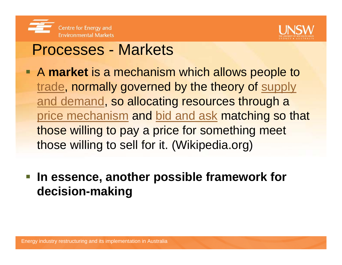



#### Processes - Markets

- A **market** is a mechanism which allows people to trade, normally governed by the theory of supply and demand, so allocating resources through a price mechanism and bid and ask matching so that those willing to pay a price for something meet those willing to sell for it. (Wikipedia.org)
- **In essence, another possible framework for decision-making**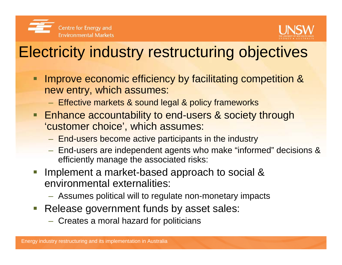



# Electricity industry restructuring objectives

- Improve economic efficiency by facilitating competition & new entry, which assumes:
	- $-$  Effective markets & sound legal & policy frameworks
- **Enhance accountability to end-users & society through** 'customer choice', which assumes:
	- End-users become active participants in the industry
	- End-users are independent agents who make "informed" decisions & efficiently manage the associated risks:
- I. Implement a market-based approach to social & environmental externalities:
	- Assumes political will to regulate non-monetary impacts
- $\overline{\mathbb{R}^n}$  Release government funds by asset sales:
	- $-$  Creates a moral hazard for politicians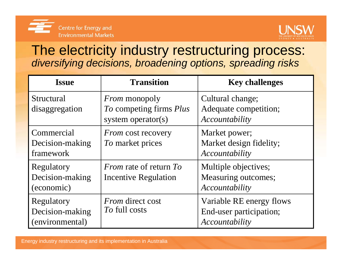



#### The electricity industry restructuring process: *diversifying decisions, broadening options, spreading risks*

| <b>Issue</b>                                     | <b>Transition</b>                                                     | <b>Key challenges</b>                                                 |
|--------------------------------------------------|-----------------------------------------------------------------------|-----------------------------------------------------------------------|
| Structural<br>disaggregation                     | <i>From</i> monopoly<br>To competing firms Plus<br>system operator(s) | Cultural change;<br>Adequate competition;<br>Accountability           |
| Commercial<br>Decision-making<br>framework       | <i>From</i> cost recovery<br>To market prices                         | Market power;<br>Market design fidelity;<br>Accountability            |
| Regulatory<br>Decision-making<br>(economic)      | <i>From</i> rate of return To<br>Incentive Regulation                 | Multiple objectives;<br>Measuring outcomes;<br>Accountability         |
| Regulatory<br>Decision-making<br>(environmental) | <i>From</i> direct cost<br>To full costs                              | Variable RE energy flows<br>End-user participation;<br>Accountability |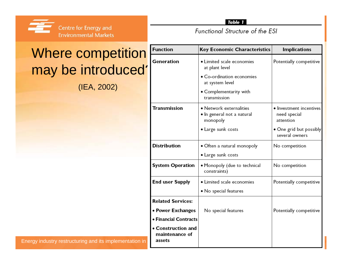

Table 1

Functional Structure of the ESI

### Where competition may be introduced'

(IEA, 2002)

| <b>Key Economic Characteristics</b>                               | <b>Implications</b>                                  |
|-------------------------------------------------------------------|------------------------------------------------------|
| • Limited scale economies<br>at plant level                       | Potentially competitive                              |
| • Co-ordination economies<br>at system level                      |                                                      |
| • Complementarity with<br>transmission                            |                                                      |
| • Network externalities<br>• In general not a natural<br>monopoly | • Investment incentives<br>need special<br>attention |
| • Large sunk costs                                                | • One grid but possibly<br>several owners            |
| • Often a natural monopoly                                        | No competition                                       |
| • Large sunk costs                                                |                                                      |
| • Monopoly (due to technical<br>constraints)                      | No competition                                       |
| • Limited scale economies                                         | Potentially competitive                              |
| • No special features                                             |                                                      |
|                                                                   |                                                      |
| No special features                                               | Potentially competitive                              |
|                                                                   |                                                      |
|                                                                   |                                                      |
| • Financial Contracts                                             |                                                      |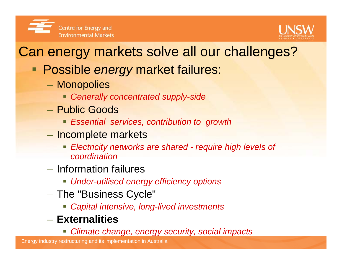



## Can energy markets solve all our challenges?

- Possible *energy* market failures:
	- $\mathcal{L}_{\mathcal{A}}$  Monopolies
		- *Generally concentrated supply-side*
	- Public Goods
		- *Essential services, contribution to growth*
	- Incomplete markets
		- *Electricity networks are shared - require high levels of coordination*
	- Information failures
		- *Under-utilised energy efficiency options*
	- – $-$  The "Business Cycle"  $\,$ 
		- *Capital intensive, long-lived investments*
	- **Externalities**
		- *Climate change, energy security, social impacts*

Energy industry restructuring and its implementation in Australia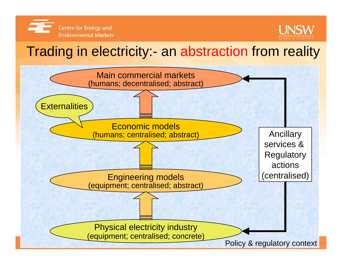



#### Trading in electricity:- an abstraction from reality

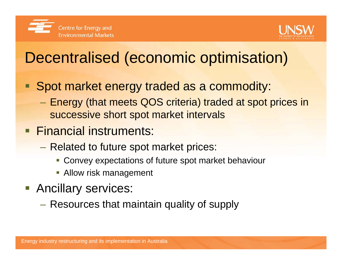



# Decentralised (economic optimisation)

- $\blacksquare$  Spot market energy traded as a commodity:
	- Energy (that meets QOS criteria) traded at spot prices in successive short spot market intervals
- **Financial instruments:** 
	- Related to future spot market prices:
		- Convey expectations of future spot market behaviour
		- **-** Allow risk management
- **Ancillary services:** 
	- **Hart Communication** Resources that maintain quality of supply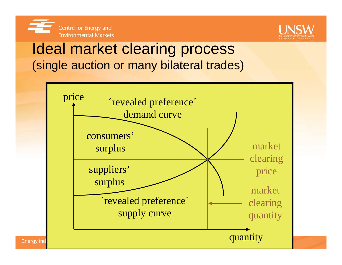



### Ideal market clearing process (single auction or many bilateral trades)

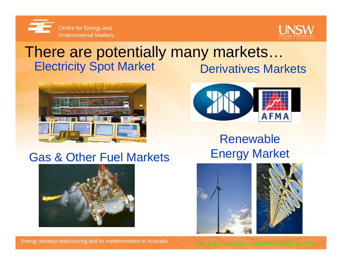



#### **Electricity Spot Market Derivatives Markets** There are potentially many markets…





#### Renewable Energy Market





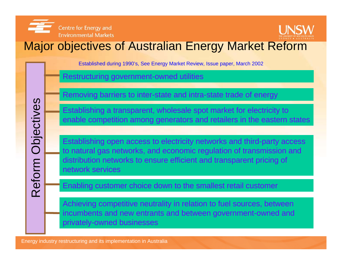



#### Major objectives of Australian Energy Market Reform

Established during 1990's, See Energy Market Review, Issue paper, March 2002

Restructuring government-owned utilities

Removing barriers to inter-state and intra-state trade of energy

Establishing a transparent, wholesale spot market for electricity to enable competition among generators and retailers in the eastern states

Establishing open access to electricity networks and third-party access to natural gas networks, and economic regulation of transmission and distribution networks to ensure efficient and transparent pricing of network services

Enabling customer choice down to the smallest retail customer

Achieving competitive neutrality in relation to fuel sources, between incumbents and new entrants and between government-owned and privately-owned businesses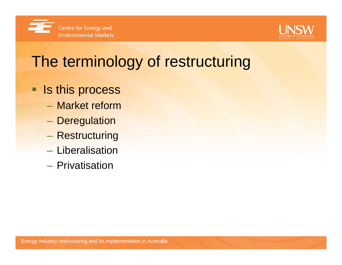



# The terminology of restructuring

- **If Is this process** 
	- Market reform
	- $\mathcal{L}_{\mathcal{A}}$ – Deregulation
	- $\mathcal{L}_{\mathcal{A}}$ – Restructuring
	- Liberalisation
	- Privatisation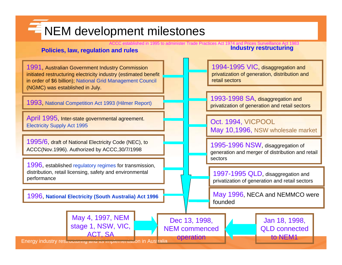### **KEM** development milestones

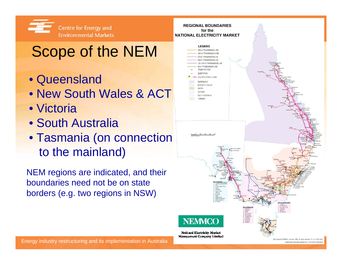

# Scope of the NEM

- Queensland
- New South Wales & ACT
- Victoria
- South Australia
- Tasmania (on connection to the mainland)

NEM regions are indicated, and their boundaries need not be on state borders (e.g. two regions in NSW)

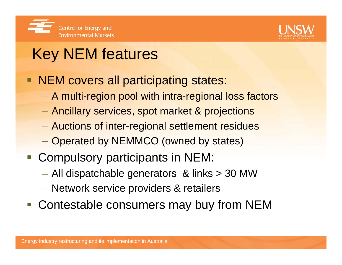



# Key NEM features

- $\blacksquare$  NEM covers all participating states:
	- $\mathcal{L}_{\mathcal{A}}$ A multi-region pool with intra-regional loss factors
	- $\mathcal{L}_{\mathcal{A}}$ Ancillary services, spot market & projections
	- $\mathcal{L}_{\mathcal{A}}$ Auctions of inter-regional settlement residues
	- $\mathcal{L}_{\mathcal{A}}$ Operated by NEMMCO (owned by states)
- **Compulsory participants in NEM:** 
	- All dispatchable generators & links > 30 MW
	- Network service providers & retailers
- **Contestable consumers may buy from NEM**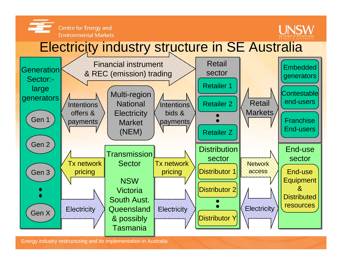



#### Electricity industry structure in SE Australia



Energy industry restructuring and its implementation in Australia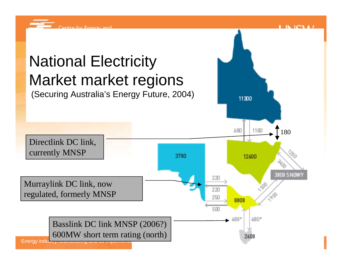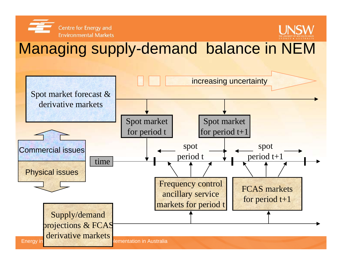



## Managing supply-demand balance in NEM

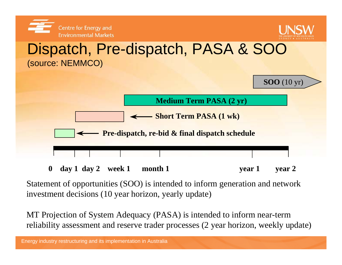

**0 day 1 day 2 week 1 month 1 year 1 year 2**

Statement of opportunities (SOO) is intended to inform generation and network investment decisions (10 year horizon, yearly update)

MT Projection of System Adequacy (PASA) is intended to inform near-term reliability assessment and reserve trader processes (2 year horizon, weekly update)

Energy industry restructuring and its implementation in Australia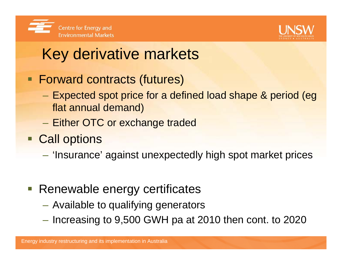



# Key derivative markets

- Forward contracts (futures)
	- $\mathcal{L}_{\mathcal{A}}$  Expected spot price for a defined load shape & period (eg flat annual demand)
	- Either OTC or exchange traded
- **Call options** 
	- –'Insurance' against unexpectedly high spot market prices
- **Renewable energy certificates** 
	- Available to qualifying generators
	- $-$  Increasing to 9,500 GWH pa at 2010 then cont. to 2020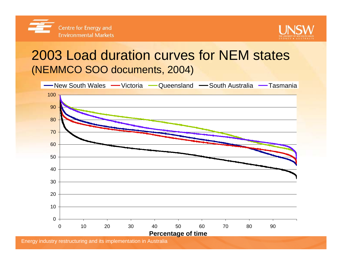



#### 2003 Load duration curves for NEM states (NEMMCO SOO documents, 2004)

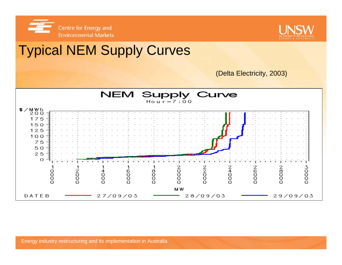



## Typical NEM Supply Curves



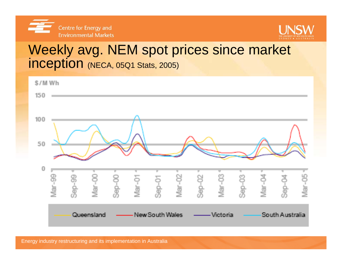



#### Weekly avg. NEM spot prices since market inception (NECA, 05Q1 Stats, 2005)

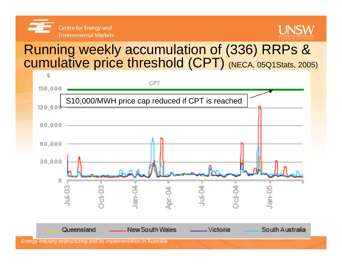



#### Running weekly accumulation of (336) RRPs & cumulative price threshold (CPT) (NECA, 05Q1Stats, 2005)

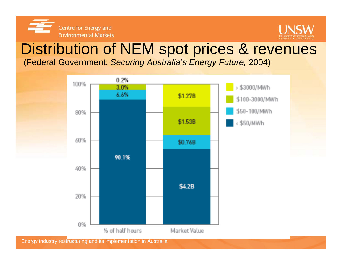



### Distribution of NEM spot prices & revenues

(Federal Government: *Securing Australia's Energy Future,* 2004)



Energy industry restructuring and its implementation in Australia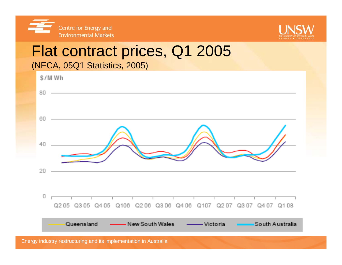



# Flat contract prices, Q1 2005



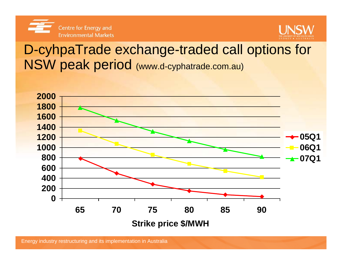



#### D-cyhpaTrade exchange-traded call options for NSW peak period (www.d-cyphatrade.com.au)

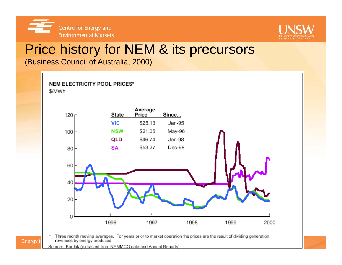



#### Price history for NEM & its precursors

(Business Council of Australia, 2000)



Three month moving averages. For years prior to market operation the prices are the result of dividing generation Energy in revenues by energy produced

Source: Bardak (extracted from NEMMCO data and Annual Reports)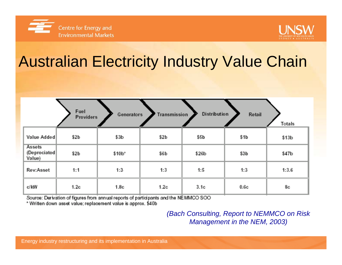



# Australian Electricity Industry Value Chain

|                                          | Fuel<br><b>Providers</b> | Generators       | Transmission     | <b>Distribution</b> | Retail | <b>Totals</b> |
|------------------------------------------|--------------------------|------------------|------------------|---------------------|--------|---------------|
| Value Added                              | \$2 <sub>b</sub>         | \$3 <sub>b</sub> | \$2 <sub>b</sub> | \$5b                | \$1b   | \$13b         |
| <b>Assets</b><br>(Depreciated)<br>Value) | \$2 <sub>b</sub>         | \$10b*           | \$6b             | \$26b               | \$3b   | \$47b         |
| Rev:Asset                                | 1:1                      | 1:3              | 1:3.             | 1:5                 | 1:3    | 1:3.6         |
| c/kW                                     | 1.2c                     | 1.8c             | 1.2c             | 3.1c                | 0.6c   | 8c            |

Source: Derivation of figures from annual reports of participants and the NEMMCO SOO.

\* Written down asset value; replacement value is approx. \$40b

*(Bach Consulting, Report to NEMMCO on Risk Management in the NEM, 2003)*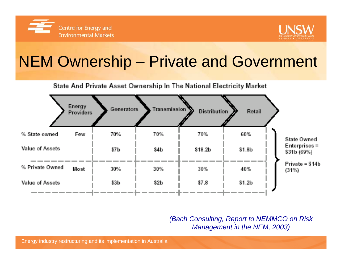



# NEM Ownership – Private and Government

#### State And Private Asset Ownership In The National Electricity Market

| Providers                                                          |
|--------------------------------------------------------------------|
| 70%<br>60%<br>% State owned<br>Few<br>70%<br>70%                   |
| Value of Assets<br>\$18.2b<br>\$1.8 <sub>b</sub><br>\$7 b<br>\$4b. |
| % Private Owned<br><b>Most</b><br>30%<br>40%<br>30%<br>30%         |
| \$7.8<br>\$1.2 <sub>b</sub><br>\$3b.<br>Value of Assets<br>\$2b    |

*(Bach Consulting, Report to NEMMCO on Risk Management in the NEM, 2003)*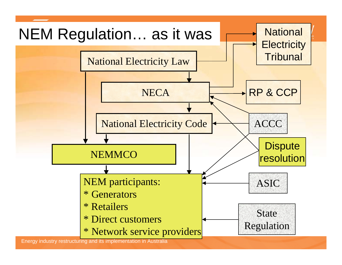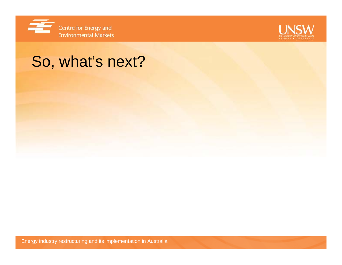



## So, what's next?

Energy industry restructuring and its implementation in Australia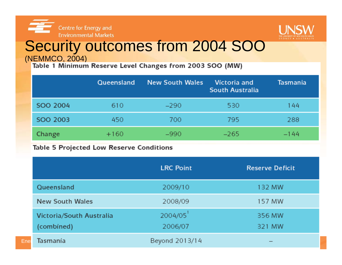



# Security outcomes from 2004 SOO

(NEMMCO, 2004)<br>Table 1 Minimum Reserve Level Changes from 2003 SOO (MW)

|          | Queensland | <b>New South Wales</b> | Victoria and<br><b>South Australia</b> | Tasmania |
|----------|------------|------------------------|----------------------------------------|----------|
| SOO 2004 | 610        | $-290$                 | 530                                    | 144      |
| SOO 2003 | 450        | 700.                   | 795                                    | 288      |
| Change   | $+160$     | $-990$                 | $-265$                                 | $-144$   |

#### Table 5 Projected Low Reserve Conditions

|                                        | <b>LRC Point</b>   | <b>Reserve Deficit</b> |
|----------------------------------------|--------------------|------------------------|
| Queensland                             | 2009/10            | 132 MW                 |
| New South Wales                        | 2008/09            | 157 MW                 |
| Victoria/South Australia<br>(combined) | 2004/05<br>2006/07 | 356 MW<br>321 MW       |
| Tasmania<br>Enel                       | Beyond 2013/14     |                        |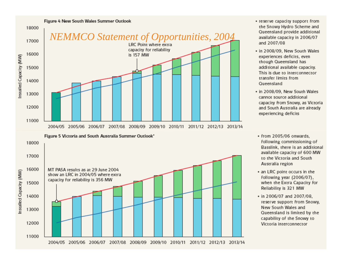

- reserve capacity support from the Snowy Hydro Scheme and Queensland provide additional available capacity in 2006/07 and 2007/08
- in 2008/09, New South Wales experiences deficits, even though Queensland has additional available capacity. This is due to interconnector transfer limits from Queensland
- · in 2008/09. New South Wales cannot source additional capacity from Snowy, as Victoria and South Australia are already experiencing deficits
- from 2005/06 onwards. following commissioning of Basslink, there is an additional available capacity of 600 MW to the Victoria and South Australia region
- an LRC point occurs in the following year (2006/07). when the Extra Capacity for Reliability is 321 MW
- in 2006/07 and 2007/08. reserve support from Snowy, New South Wales and Queensland is limited by the capability of the Snowy to Victoria interconnector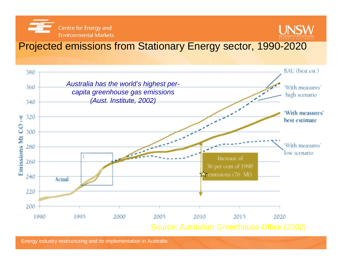Centre for Energy and **Environmental Markets** 



#### Projected emissions from Stationary Energy sector, 1990-2020



Energy industry restructuring and its implementation in Australia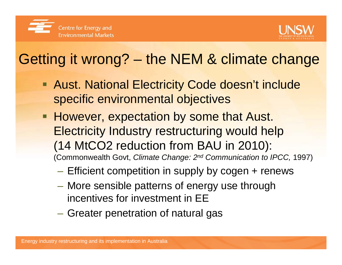



# Getting it wrong? – the NEM & climate change

- **Aust. National Electricity Code doesn't include** specific environmental objectives
- However, expectation by some that Aust. Electricity Industry restructuring would help (14 MtCO2 reduction from BAU in 2010): (Commonwealth Govt, *Climate Change: 2nd Communication to IPCC,* 1997)
	- – $-$  Efficient competition in supply by cogen + renews
	- – More sensible patterns of energy use through incentives for investment in EE
	- Greater penetration of natural gas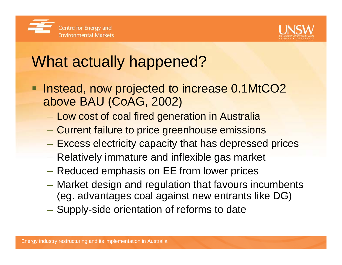



# What actually happened?

- Instead, now projected to increase 0.1MtCO2 above BAU (CoAG, 2002)
	- Low cost of coal fired generation in Australia
	- $\mathcal{L}_{\mathcal{A}}$ Current failure to price greenhouse emissions
	- –Excess electricity capacity that has depressed prices
	- $-$  Relatively immature and inflexible gas market
	- $-$  Reduced emphasis on EE from lower prices
	- Market design and regulation that favours incumbents (eg. advantages coal against new entrants like DG)
	- Supply-side orientation of reforms to date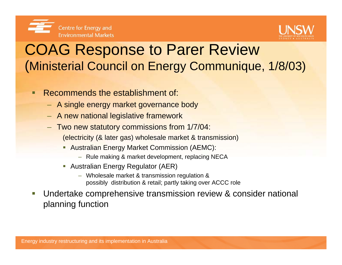



## COAG Response to Parer Review (Ministerial Council on Energy Communique, 1/8/03)

- п Recommends the establishment of:
	- A single energy market governance body
	- A new national legislative framework
	- Two new statutory commissions from 1/7/04: (electricity (& later gas) wholesale market & transmission)
		- **Australian Energy Market Commission (AEMC):** 
			- Rule making & market development, replacing NECA
		- Australian Energy Regulator (AER)
			- Wholesale market & transmission regulation & possibly distribution & retail; partly taking over ACCC role
- $\overline{\phantom{a}}$  Undertake comprehensive transmission review & consider national planning function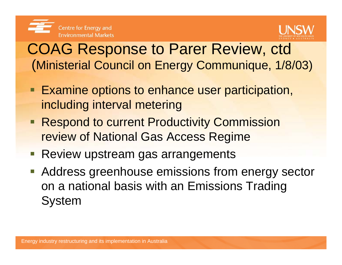



### COAG Response to Parer Review, ctd (Ministerial Council on Energy Communique, 1/8/03)

- **Examine options to enhance user participation,** including interval metering
- **Respond to current Productivity Commission** review of National Gas Access Regime
- **Review upstream gas arrangements**
- **Address greenhouse emissions from energy sector** on a national basis with an Emissions Trading System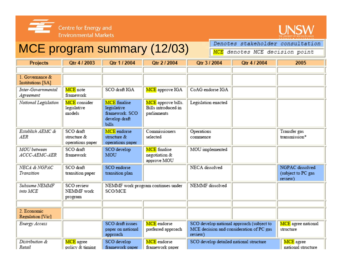



#### MCE program summary (12/03)

Denotes stakeholder consultation **MCE** denotes MCE decision point

| <b>Projects</b>                       | Qtr 4 / 2003                                 | Otr 1 / 2004                                                                          | Qtr 2 / 2004                                             | Qtr 3 / 2004                                                                                     | Otr 4 / 2004 | 2005                                             |
|---------------------------------------|----------------------------------------------|---------------------------------------------------------------------------------------|----------------------------------------------------------|--------------------------------------------------------------------------------------------------|--------------|--------------------------------------------------|
|                                       |                                              |                                                                                       |                                                          |                                                                                                  |              |                                                  |
| 1. Governance &<br>Institutions [SA]  |                                              |                                                                                       |                                                          |                                                                                                  |              |                                                  |
| Inter-Governmental<br>Agreement       | MCE note<br>framework                        | SCO draft IGA                                                                         | MCE approve IGA                                          | CoAG endorse IGA                                                                                 |              |                                                  |
| National Legislation                  | MCE consider<br>legislative<br>models        | <b>MCE</b> finalise<br>legislative<br>framework. SCO<br>develop draft<br><b>bills</b> | MCE approve bills.<br>Bills introduced in<br>parliaments | Legislation enacted                                                                              |              |                                                  |
| Establish AEMC &<br>AER               | SCO draft<br>structure &<br>operations paper | MCE endorse<br>structure &<br>operations paper                                        | Commissioners<br>selected                                | Operations<br>commence                                                                           |              | Transfer gas<br>transmission*                    |
| <b>MOU</b> between<br>ACCC-AEMC-AER   | SCO draft<br>framework                       | SCO develop<br>MOU                                                                    | <b>MCE</b> finalise<br>negotiation &<br>approve MOU      | MOU implemented                                                                                  |              |                                                  |
| <b>NECA &amp; NGPAC</b><br>Transition | SCO draft<br>transition paper                | SCO endorse<br>transition plan                                                        |                                                          | NECA dissolved                                                                                   |              | NGPAC dissolved<br>(subject to PC gas<br>review) |
| Subsume NEMMF<br>into MCE             | SCO review<br>NEMMF work<br>program          | NEMMF work program continues under<br>SCO/MCE                                         |                                                          | NEMMF dissolved                                                                                  |              |                                                  |
|                                       |                                              |                                                                                       |                                                          |                                                                                                  |              |                                                  |
| 2. Economic<br>Regulation [Vic]       |                                              |                                                                                       |                                                          |                                                                                                  |              |                                                  |
| Energy Access                         |                                              | SCO draft issues<br>paper on national<br>approach                                     | MCE endorse<br>preferred approach                        | SCO develop national approach (subject to<br>MCE decision and consideration of PC gas<br>review) |              | MCE agree national<br>structure                  |
| Distribution &<br>Retail              | MCE agree<br>policy & timing                 | SCO develop<br>framework paper                                                        | MCE endorse<br>framework paper                           | SCO develop detailed national structure                                                          |              | MCE agree<br>national structure                  |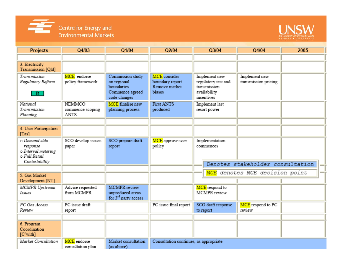



| <b>Projects</b>                                                                     | Q4/03                                      | Q1/04                                                                             | Q2/04                                                       | Q3/04                                                                              | Q4/04                                 | 2005 |
|-------------------------------------------------------------------------------------|--------------------------------------------|-----------------------------------------------------------------------------------|-------------------------------------------------------------|------------------------------------------------------------------------------------|---------------------------------------|------|
|                                                                                     |                                            |                                                                                   |                                                             |                                                                                    |                                       |      |
| 3. Electricity<br>Transmission [Qld]                                                |                                            |                                                                                   |                                                             |                                                                                    |                                       |      |
| Transmission<br>Regulatory Reform<br>$\blacksquare$                                 | MCE endorse<br>policy framework            | Commission study<br>on regional<br>boundaries.<br>Commence agreed<br>code changes | MCE consider<br>boundary report.<br>Remove market<br>biases | Implement new<br>regulatory test and<br>transmission<br>availability<br>incentives | Implement new<br>transmission pricing |      |
| National<br>Transmission<br>Planning                                                | <b>NEMMCO</b><br>commence scoping<br>ANTS. | <b>MCE</b> finalise new<br>planning process                                       | <b>First ANTS</b><br>produced                               | Implement last<br>resort power                                                     |                                       |      |
| 4. User Participation<br>[Tas]                                                      |                                            |                                                                                   |                                                             |                                                                                    |                                       |      |
| o Demand side<br>response<br>o Interval metering<br>O Full Retail<br>Contestability | SCO develop issues<br>paper                | SCO prepare draft<br>report                                                       | MCE approve user<br>policy                                  | Implementation<br>commences                                                        | Denotes stakeholder consultation      |      |
|                                                                                     |                                            |                                                                                   |                                                             |                                                                                    |                                       |      |
| 5. Gas Market<br>Development [NT]                                                   |                                            |                                                                                   |                                                             |                                                                                    | MCE denotes MCE decision point        |      |
| MCMPR Upstream<br>Issues                                                            | Advice requested<br>from MCMPR             | <b>MCMPR</b> review<br>unproduced areas<br>for 3 <sup>rd</sup> party access       |                                                             | MCE respond to<br>MCMPR review                                                     |                                       |      |
| PC Gas Access<br>Review                                                             | PC issue draft<br>report                   |                                                                                   | PC issue final report                                       | SCO draft response<br>to report                                                    | MCE respond to PC<br>review           |      |
|                                                                                     |                                            |                                                                                   |                                                             |                                                                                    |                                       |      |
| 6. Program<br>Coordination<br>[C'wlth]                                              |                                            |                                                                                   |                                                             |                                                                                    |                                       |      |
| Market Consultation                                                                 | MCE endorse<br>consultation plan           | Market consultation<br>(as above)                                                 | Consultation continues, as appropriate                      |                                                                                    |                                       |      |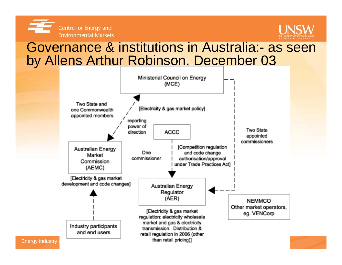



#### Governance & institutions in Australia:- as seen by Allens Arthur Robinson, December 03

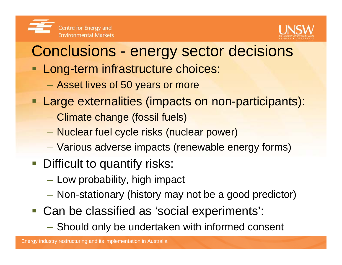



## Conclusions - energy sector decisions

- **Long-term infrastructure choices:** 
	- $\mathcal{L}_{\mathcal{A}}$ Asset lives of 50 years or more
- **Large externalities (impacts on non-participants):** 
	- Climate change (fossil fuels)
	- Nuclear fuel cycle risks (nuclear power)
	- Various adverse impacts (renewable energy forms)
- **Difficult to quantify risks:** 
	- $-$  Low probability, high impact
	- Non-stationary (history may not be a good predictor)
- Can be classified as 'social experiments':
	- Should only be undertaken with informed consent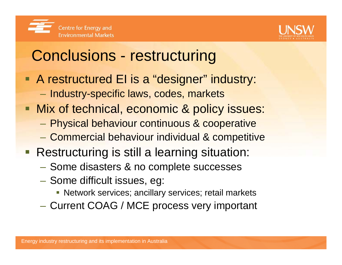



## Conclusions - restructuring

- **A restructured EI is a "designer" industry:** 
	- Industry-specific laws, codes, markets
- **Nix of technical, economic & policy issues:** 
	- –Physical behaviour continuous & cooperative
	- –Commercial behaviour individual & competitive
- **Restructuring is still a learning situation:** 
	- Some disasters & no complete successes
	- $-$  Some difficult issues, eg:
		- Network services; ancillary services; retail markets
	- –Current COAG / MCE process very important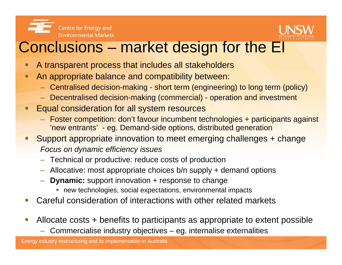



### Conclusions – market design for the EI

- A transparent process that includes all stakeholders
- П An appropriate balance and compatibility between:
	- Centralised decision-making short term (engineering) to long term (policy)
	- Decentralised decision-making (commercial) operation and investment
- Ξ Equal consideration for all system resources
	- Foster competition: don't favour incumbent technologies + participants against 'new entrants' - eg. Demand-side options, distributed generation
- П Support appropriate innovation to meet emerging challenges + change *Focus on dynamic efficiency issues*
	- Technical or productive: reduce costs of production
	- Allocative: most appropriate choices b/n supply + demand options
	- **Dynamic:** support innovation + response to change
		- **new technologies, social expectations, environmental impacts**
- $\overline{\phantom{a}}$ Careful consideration of interactions with other related markets
- Allocate costs + benefits to participants as appropriate to extent possible
	- Commercialise industry objectives eg. internalise externalities

Energy industry restructuring and its implementation in Australia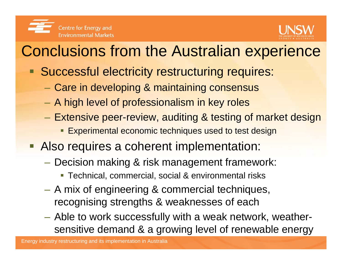



# Conclusions from the Australian experience

- **Successful electricity restructuring requires:** 
	- $\mathcal{L}_{\mathcal{A}}$ Care in developing & maintaining consensus
	- $\mathcal{L}_{\mathcal{A}}$  $-$  A high level of professionalism in key roles
	- $\mathcal{L}_{\mathcal{A}}$  Extensive peer-review, auditing & testing of market design
		- П Experimental economic techniques used to test design
- **Also requires a coherent implementation:** 
	- – Decision making & risk management framework:
		- Technical, commercial, social & environmental risks
	- A mix of engineering & commercial techniques, recognising strengths & weaknesses of each
	- Able to work successfully with a weak network, weathersensitive demand & a growing level of renewable energy